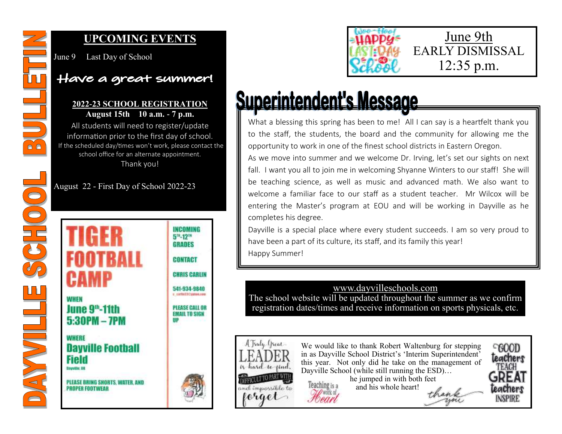

 $\frac{1}{2}C\ln\left(0\right)$ 

**BAYYOULLE** 

## **UPCOMING EVENTS**

June 9 Last Day of School

# Have a great summer!

#### **2022-23 SCHOOL REGISTRATION August 15th 10 a.m. - 7 p.m.**

All students will need to register/update information prior to the first day of school. If the scheduled day/times won't work, please contact the school office for an alternate appointment. Thank you!

August 22 - First Day of School 2022-23





# Superintendent's Message

Foeart

What a blessing this spring has been to me! All I can say is a heartfelt thank you to the staff, the students, the board and the community for allowing me the opportunity to work in one of the finest school districts in Eastern Oregon.

As we move into summer and we welcome Dr. Irving, let's set our sights on next fall. I want you all to join me in welcoming Shyanne Winters to our staff! She will be teaching science, as well as music and advanced math. We also want to welcome a familiar face to our staff as a student teacher. Mr Wilcox will be entering the Master's program at EOU and will be working in Dayville as he completes his degree.

Dayville is a special place where every student succeeds. I am so very proud to have been a part of its culture, its staff, and its family this year! Happy Summer!

### www.dayvilleschools.com

The school website will be updated throughout the summer as we confirm registration dates/times and receive information on sports physicals, etc.



We would like to thank Robert Waltenburg for stepping in as Dayville School District's 'Interim Superintendent' this year. Not only did he take on the management of Dayville School (while still running the ESD)... he jumped in with both feet Teaching is a and his whole heart!

thank

 $C$ 600D teachers FFACH LeaChers **INSPIRE**